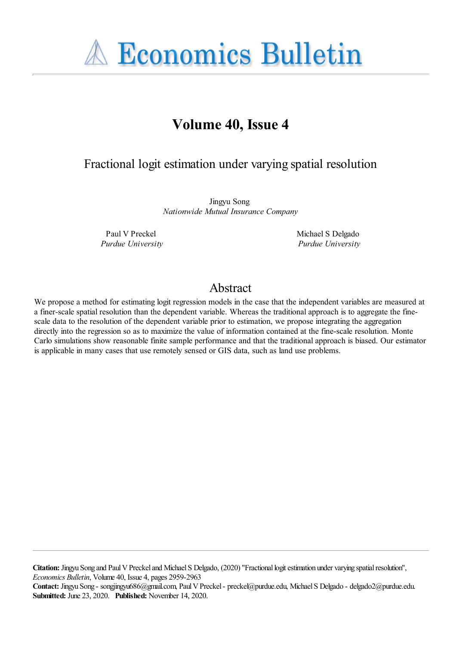**A Economics Bulletin** 

# **Volume 40, Issue 4**

# Fractional logit estimation under varying spatial resolution

Jingyu Song *Nationwide Mutual Insurance Company*

Paul V Preckel *Purdue University* Michael S Delgado *Purdue University*

# Abstract

We propose a method for estimating logit regression models in the case that the independent variables are measured at a finer-scale spatial resolution than the dependent variable. Whereas the traditional approach is to aggregate the finescale data to the resolution of the dependent variable prior to estimation, we propose integrating the aggregation directly into the regression so as to maximize the value of information contained at the fine-scale resolution. Monte Carlo simulations show reasonable finite sample performance and that the traditional approach is biased. Our estimator is applicable in many cases that use remotely sensed or GIS data, such as land use problems.

**Citation:** Jingyu Song and Paul V Preckel and Michael S Delgado, (2020) ''Fractional logit estimation under varying spatial resolution'', *Economics Bulletin*, Volume 40, Issue 4, pages 2959-2963

**Contact:** Jingyu Song - songjingyu686@gmail.com, Paul V Preckel - preckel@purdue.edu, Michael S Delgado - delgado2@purdue.edu. **Submitted:** June 23, 2020. **Published:** November 14, 2020.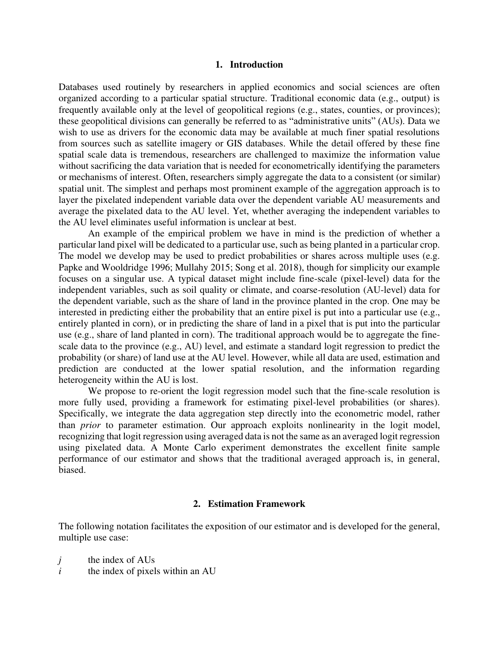#### **1. Introduction**

Databases used routinely by researchers in applied economics and social sciences are often organized according to a particular spatial structure. Traditional economic data (e.g., output) is frequently available only at the level of geopolitical regions (e.g., states, counties, or provinces); these geopolitical divisions can generally be referred to as "administrative units" (AUs). Data we wish to use as drivers for the economic data may be available at much finer spatial resolutions from sources such as satellite imagery or GIS databases. While the detail offered by these fine spatial scale data is tremendous, researchers are challenged to maximize the information value without sacrificing the data variation that is needed for econometrically identifying the parameters or mechanisms of interest. Often, researchers simply aggregate the data to a consistent (or similar) spatial unit. The simplest and perhaps most prominent example of the aggregation approach is to layer the pixelated independent variable data over the dependent variable AU measurements and average the pixelated data to the AU level. Yet, whether averaging the independent variables to the AU level eliminates useful information is unclear at best.

 An example of the empirical problem we have in mind is the prediction of whether a particular land pixel will be dedicated to a particular use, such as being planted in a particular crop. The model we develop may be used to predict probabilities or shares across multiple uses (e.g. Papke and Wooldridge 1996; Mullahy 2015; Song et al. 2018), though for simplicity our example focuses on a singular use. A typical dataset might include fine-scale (pixel-level) data for the independent variables, such as soil quality or climate, and coarse-resolution (AU-level) data for the dependent variable, such as the share of land in the province planted in the crop. One may be interested in predicting either the probability that an entire pixel is put into a particular use (e.g., entirely planted in corn), or in predicting the share of land in a pixel that is put into the particular use (e.g., share of land planted in corn). The traditional approach would be to aggregate the finescale data to the province (e.g., AU) level, and estimate a standard logit regression to predict the probability (or share) of land use at the AU level. However, while all data are used, estimation and prediction are conducted at the lower spatial resolution, and the information regarding heterogeneity within the AU is lost.

 We propose to re-orient the logit regression model such that the fine-scale resolution is more fully used, providing a framework for estimating pixel-level probabilities (or shares). Specifically, we integrate the data aggregation step directly into the econometric model, rather than *prior* to parameter estimation. Our approach exploits nonlinearity in the logit model, recognizing that logit regression using averaged data is not the same as an averaged logit regression using pixelated data. A Monte Carlo experiment demonstrates the excellent finite sample performance of our estimator and shows that the traditional averaged approach is, in general, biased.

### **2. Estimation Framework**

The following notation facilitates the exposition of our estimator and is developed for the general, multiple use case:

- *j* the index of AUs
- $i$  the index of pixels within an AU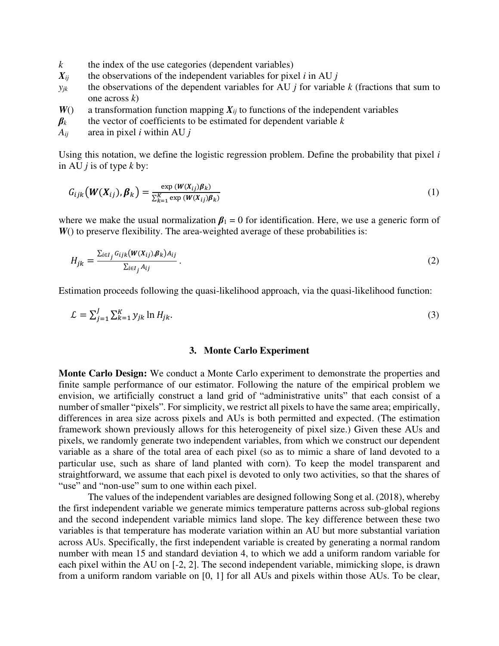- $k$  the index of the use categories (dependent variables)
- $X_{ij}$  the observations of the independent variables for pixel *i* in AU *j*
- $y_{jk}$  the observations of the dependent variables for AU *j* for variable *k* (fractions that sum to one across *k*)
- $W()$  a transformation function mapping  $X_{ij}$  to functions of the independent variables
- $\beta_k$  the vector of coefficients to be estimated for dependent variable  $k$
- *Aij* area in pixel *i* within AU *j*

Using this notation, we define the logistic regression problem. Define the probability that pixel *i* in AU *j* is of type *k* by:

$$
G_{ijk} \big( \boldsymbol{W}(\boldsymbol{X}_{ij}), \boldsymbol{\beta}_k \big) = \frac{\exp \left( \boldsymbol{W}(\boldsymbol{X}_{ij}) \boldsymbol{\beta}_k \right)}{\sum_{k=1}^K \exp \left( \boldsymbol{W}(\boldsymbol{X}_{ij}) \boldsymbol{\beta}_k \right)} \tag{1}
$$

where we make the usual normalization  $\beta_1 = 0$  for identification. Here, we use a generic form of *W*() to preserve flexibility. The area-weighted average of these probabilities is:

$$
H_{jk} = \frac{\sum_{i \in I_j} G_{ijk}(W(X_{ij}), \beta_k) A_{ij}}{\sum_{i \in I_j} A_{ij}}.
$$
 (2)

Estimation proceeds following the quasi-likelihood approach, via the quasi-likelihood function:

$$
\mathcal{L} = \sum_{j=1}^{J} \sum_{k=1}^{K} y_{jk} \ln H_{jk}.\tag{3}
$$

#### **3. Monte Carlo Experiment**

**Monte Carlo Design:** We conduct a Monte Carlo experiment to demonstrate the properties and finite sample performance of our estimator. Following the nature of the empirical problem we envision, we artificially construct a land grid of "administrative units" that each consist of a number of smaller "pixels". For simplicity, we restrict all pixels to have the same area; empirically, differences in area size across pixels and AUs is both permitted and expected. (The estimation framework shown previously allows for this heterogeneity of pixel size.) Given these AUs and pixels, we randomly generate two independent variables, from which we construct our dependent variable as a share of the total area of each pixel (so as to mimic a share of land devoted to a particular use, such as share of land planted with corn). To keep the model transparent and straightforward, we assume that each pixel is devoted to only two activities, so that the shares of "use" and "non-use" sum to one within each pixel.

The values of the independent variables are designed following Song et al. (2018), whereby the first independent variable we generate mimics temperature patterns across sub-global regions and the second independent variable mimics land slope. The key difference between these two variables is that temperature has moderate variation within an AU but more substantial variation across AUs. Specifically, the first independent variable is created by generating a normal random number with mean 15 and standard deviation 4, to which we add a uniform random variable for each pixel within the AU on [-2, 2]. The second independent variable, mimicking slope, is drawn from a uniform random variable on [0, 1] for all AUs and pixels within those AUs. To be clear,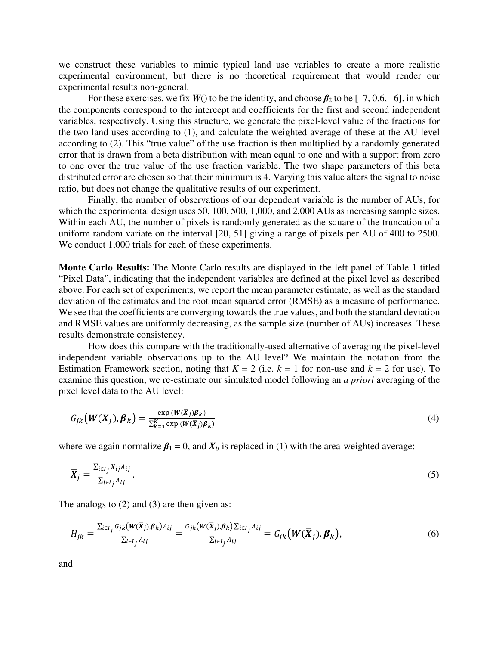we construct these variables to mimic typical land use variables to create a more realistic experimental environment, but there is no theoretical requirement that would render our experimental results non-general.

For these exercises, we fix  $W()$  to be the identity, and choose  $\beta_2$  to be  $[-7, 0.6, -6]$ , in which the components correspond to the intercept and coefficients for the first and second independent variables, respectively. Using this structure, we generate the pixel-level value of the fractions for the two land uses according to (1), and calculate the weighted average of these at the AU level according to (2). This "true value" of the use fraction is then multiplied by a randomly generated error that is drawn from a beta distribution with mean equal to one and with a support from zero to one over the true value of the use fraction variable. The two shape parameters of this beta distributed error are chosen so that their minimum is 4. Varying this value alters the signal to noise ratio, but does not change the qualitative results of our experiment.

Finally, the number of observations of our dependent variable is the number of AUs, for which the experimental design uses 50, 100, 500, 1,000, and 2,000 AUs as increasing sample sizes. Within each AU, the number of pixels is randomly generated as the square of the truncation of a uniform random variate on the interval [20, 51] giving a range of pixels per AU of 400 to 2500. We conduct 1,000 trials for each of these experiments.

**Monte Carlo Results:** The Monte Carlo results are displayed in the left panel of Table 1 titled "Pixel Data", indicating that the independent variables are defined at the pixel level as described above. For each set of experiments, we report the mean parameter estimate, as well as the standard deviation of the estimates and the root mean squared error (RMSE) as a measure of performance. We see that the coefficients are converging towards the true values, and both the standard deviation and RMSE values are uniformly decreasing, as the sample size (number of AUs) increases. These results demonstrate consistency.

How does this compare with the traditionally-used alternative of averaging the pixel-level independent variable observations up to the AU level? We maintain the notation from the Estimation Framework section, noting that  $K = 2$  (i.e.  $k = 1$  for non-use and  $k = 2$  for use). To examine this question, we re-estimate our simulated model following an *a priori* averaging of the pixel level data to the AU level:

$$
G_{jk}\left(\boldsymbol{W}(\overline{\boldsymbol{X}}_{j}),\boldsymbol{\beta}_{k}\right) = \frac{\exp\left(\boldsymbol{W}(\overline{\boldsymbol{X}}_{j})\boldsymbol{\beta}_{k}\right)}{\sum_{k=1}^{K}\exp\left(\boldsymbol{W}(\overline{\boldsymbol{X}}_{j})\boldsymbol{\beta}_{k}\right)}
$$
(4)

where we again normalize  $\beta_1 = 0$ , and  $X_{ij}$  is replaced in (1) with the area-weighted average:

$$
\overline{X}_j = \frac{\sum_{i \in I_j} X_{ij} A_{ij}}{\sum_{i \in I_j} A_{ij}}.
$$
\n
$$
(5)
$$

The analogs to (2) and (3) are then given as:

$$
H_{jk} = \frac{\sum_{i \in I_j} G_{jk}(W(\overline{X}_j), \beta_k)A_{ij}}{\sum_{i \in I_j} A_{ij}} = \frac{G_{jk}(W(\overline{X}_j), \beta_k)\sum_{i \in I_j} A_{ij}}{\sum_{i \in I_j} A_{ij}} = G_{jk}(W(\overline{X}_j), \beta_k),
$$
(6)

and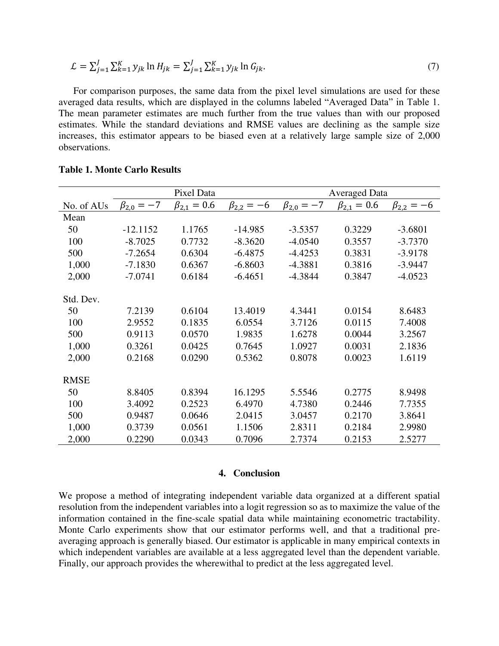$$
\mathcal{L} = \sum_{j=1}^{J} \sum_{k=1}^{K} y_{jk} \ln H_{jk} = \sum_{j=1}^{J} \sum_{k=1}^{K} y_{jk} \ln G_{jk}.
$$
 (7)

For comparison purposes, the same data from the pixel level simulations are used for these averaged data results, which are displayed in the columns labeled "Averaged Data" in Table 1. The mean parameter estimates are much further from the true values than with our proposed estimates. While the standard deviations and RMSE values are declining as the sample size increases, this estimator appears to be biased even at a relatively large sample size of 2,000 observations.

|             | Pixel Data         |                     |                    | <b>Averaged Data</b> |                     |                    |
|-------------|--------------------|---------------------|--------------------|----------------------|---------------------|--------------------|
| No. of AUs  | $\beta_{2,0} = -7$ | $\beta_{2.1} = 0.6$ | $\beta_{2,2} = -6$ | $\beta_{2,0} = -7$   | $\beta_{2.1} = 0.6$ | $\beta_{2,2} = -6$ |
| Mean        |                    |                     |                    |                      |                     |                    |
| 50          | $-12.1152$         | 1.1765              | $-14.985$          | $-3.5357$            | 0.3229              | $-3.6801$          |
| 100         | $-8.7025$          | 0.7732              | $-8.3620$          | $-4.0540$            | 0.3557              | $-3.7370$          |
| 500         | $-7.2654$          | 0.6304              | $-6.4875$          | $-4.4253$            | 0.3831              | $-3.9178$          |
| 1,000       | $-7.1830$          | 0.6367              | $-6.8603$          | $-4.3881$            | 0.3816              | $-3.9447$          |
| 2,000       | $-7.0741$          | 0.6184              | $-6.4651$          | $-4.3844$            | 0.3847              | $-4.0523$          |
| Std. Dev.   |                    |                     |                    |                      |                     |                    |
| 50          | 7.2139             | 0.6104              | 13.4019            | 4.3441               | 0.0154              | 8.6483             |
| 100         | 2.9552             | 0.1835              | 6.0554             | 3.7126               | 0.0115              | 7.4008             |
| 500         | 0.9113             | 0.0570              | 1.9835             | 1.6278               | 0.0044              | 3.2567             |
| 1,000       | 0.3261             | 0.0425              | 0.7645             | 1.0927               | 0.0031              | 2.1836             |
| 2,000       | 0.2168             | 0.0290              | 0.5362             | 0.8078               | 0.0023              | 1.6119             |
| <b>RMSE</b> |                    |                     |                    |                      |                     |                    |
| 50          | 8.8405             | 0.8394              | 16.1295            | 5.5546               | 0.2775              | 8.9498             |
| 100         | 3.4092             | 0.2523              | 6.4970             | 4.7380               | 0.2446              | 7.7355             |
| 500         | 0.9487             | 0.0646              | 2.0415             | 3.0457               | 0.2170              | 3.8641             |
| 1,000       | 0.3739             | 0.0561              | 1.1506             | 2.8311               | 0.2184              | 2.9980             |
| 2,000       | 0.2290             | 0.0343              | 0.7096             | 2.7374               | 0.2153              | 2.5277             |

#### **Table 1. Monte Carlo Results**

### **4. Conclusion**

We propose a method of integrating independent variable data organized at a different spatial resolution from the independent variables into a logit regression so as to maximize the value of the information contained in the fine-scale spatial data while maintaining econometric tractability. Monte Carlo experiments show that our estimator performs well, and that a traditional preaveraging approach is generally biased. Our estimator is applicable in many empirical contexts in which independent variables are available at a less aggregated level than the dependent variable. Finally, our approach provides the wherewithal to predict at the less aggregated level.